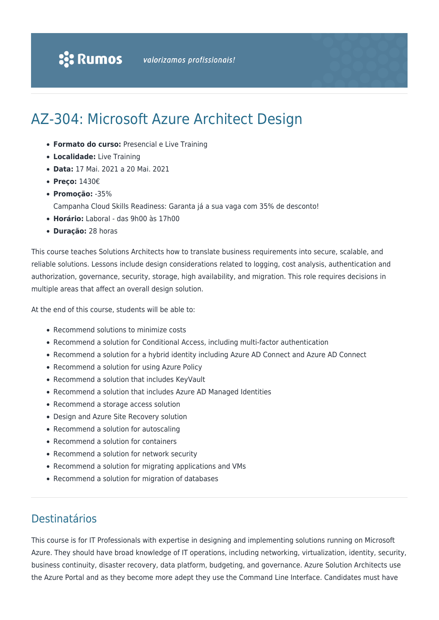# AZ-304: Microsoft Azure Architect Design

- **Formato do curso:** Presencial e Live Training
- **Localidade:** Live Training
- **Data:** 17 Mai. 2021 a 20 Mai. 2021
- **Preço:** 1430€
- **Promoção:** -35%
	- Campanha Cloud Skills Readiness: Garanta já a sua vaga com 35% de desconto!
- **Horário:** Laboral das 9h00 às 17h00
- **Duração:** 28 horas

This course teaches Solutions Architects how to translate business requirements into secure, scalable, and reliable solutions. Lessons include design considerations related to logging, cost analysis, authentication and authorization, governance, security, storage, high availability, and migration. This role requires decisions in multiple areas that affect an overall design solution.

At the end of this course, students will be able to:

- Recommend solutions to minimize costs
- Recommend a solution for Conditional Access, including multi-factor authentication
- Recommend a solution for a hybrid identity including Azure AD Connect and Azure AD Connect
- Recommend a solution for using Azure Policy
- Recommend a solution that includes KeyVault
- Recommend a solution that includes Azure AD Managed Identities
- Recommend a storage access solution
- Design and Azure Site Recovery solution
- Recommend a solution for autoscaling
- Recommend a solution for containers
- Recommend a solution for network security
- Recommend a solution for migrating applications and VMs
- Recommend a solution for migration of databases

### Destinatários

This course is for IT Professionals with expertise in designing and implementing solutions running on Microsoft Azure. They should have broad knowledge of IT operations, including networking, virtualization, identity, security, business continuity, disaster recovery, data platform, budgeting, and governance. Azure Solution Architects use the Azure Portal and as they become more adept they use the Command Line Interface. Candidates must have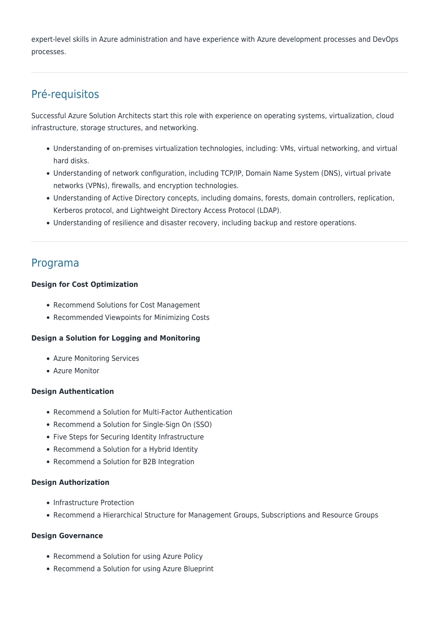expert-level skills in Azure administration and have experience with Azure development processes and DevOps processes.

## Pré-requisitos

Successful Azure Solution Architects start this role with experience on operating systems, virtualization, cloud infrastructure, storage structures, and networking.

- Understanding of on-premises virtualization technologies, including: VMs, virtual networking, and virtual hard disks.
- Understanding of network configuration, including TCP/IP, Domain Name System (DNS), virtual private networks (VPNs), firewalls, and encryption technologies.
- Understanding of Active Directory concepts, including domains, forests, domain controllers, replication, Kerberos protocol, and Lightweight Directory Access Protocol (LDAP).
- Understanding of resilience and disaster recovery, including backup and restore operations.

### Programa

#### **Design for Cost Optimization**

- Recommend Solutions for Cost Management
- Recommended Viewpoints for Minimizing Costs

#### **Design a Solution for Logging and Monitoring**

- Azure Monitoring Services
- Azure Monitor

#### **Design Authentication**

- Recommend a Solution for Multi-Factor Authentication
- Recommend a Solution for Single-Sign On (SSO)
- Five Steps for Securing Identity Infrastructure
- Recommend a Solution for a Hybrid Identity
- Recommend a Solution for B2B Integration

#### **Design Authorization**

- Infrastructure Protection
- Recommend a Hierarchical Structure for Management Groups, Subscriptions and Resource Groups

#### **Design Governance**

- Recommend a Solution for using Azure Policy
- Recommend a Solution for using Azure Blueprint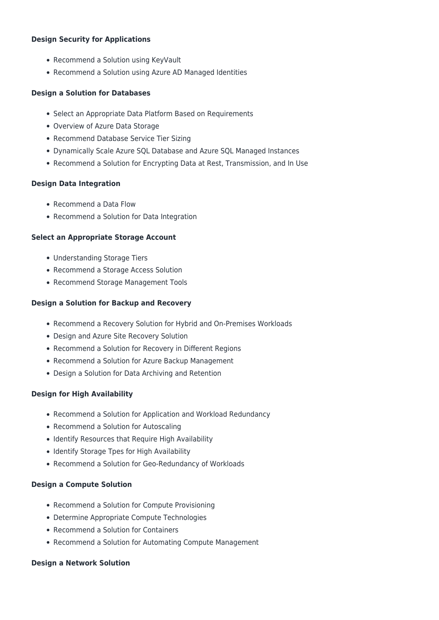#### **Design Security for Applications**

- Recommend a Solution using KeyVault
- Recommend a Solution using Azure AD Managed Identities

#### **Design a Solution for Databases**

- Select an Appropriate Data Platform Based on Requirements
- Overview of Azure Data Storage
- Recommend Database Service Tier Sizing
- Dynamically Scale Azure SQL Database and Azure SQL Managed Instances
- Recommend a Solution for Encrypting Data at Rest, Transmission, and In Use

#### **Design Data Integration**

- Recommend a Data Flow
- Recommend a Solution for Data Integration

#### **Select an Appropriate Storage Account**

- Understanding Storage Tiers
- Recommend a Storage Access Solution
- Recommend Storage Management Tools

#### **Design a Solution for Backup and Recovery**

- Recommend a Recovery Solution for Hybrid and On-Premises Workloads
- Design and Azure Site Recovery Solution
- Recommend a Solution for Recovery in Different Regions
- Recommend a Solution for Azure Backup Management
- Design a Solution for Data Archiving and Retention

#### **Design for High Availability**

- Recommend a Solution for Application and Workload Redundancy
- Recommend a Solution for Autoscaling
- Identify Resources that Require High Availability
- Identify Storage Tpes for High Availability
- Recommend a Solution for Geo-Redundancy of Workloads

#### **Design a Compute Solution**

- Recommend a Solution for Compute Provisioning
- Determine Appropriate Compute Technologies
- Recommend a Solution for Containers
- Recommend a Solution for Automating Compute Management

#### **Design a Network Solution**